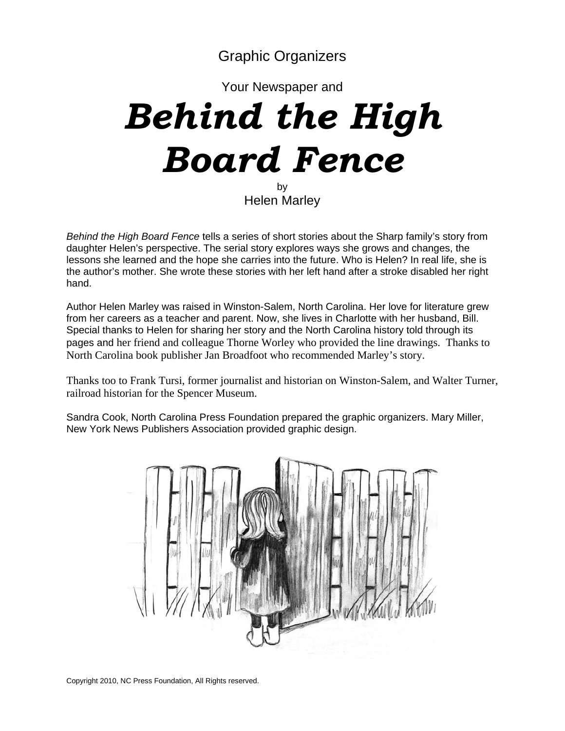Graphic Organizers

Your Newspaper and

# *Behind the High Board Fence* by

Helen Marley

*Behind the High Board Fence* tells a series of short stories about the Sharp family's story from daughter Helen's perspective. The serial story explores ways she grows and changes, the lessons she learned and the hope she carries into the future. Who is Helen? In real life, she is the author's mother. She wrote these stories with her left hand after a stroke disabled her right hand.

Author Helen Marley was raised in Winston-Salem, North Carolina. Her love for literature grew from her careers as a teacher and parent. Now, she lives in Charlotte with her husband, Bill. Special thanks to Helen for sharing her story and the North Carolina history told through its pages and her friend and colleague Thorne Worley who provided the line drawings. Thanks to North Carolina book publisher Jan Broadfoot who recommended Marley's story.

Thanks too to Frank Tursi, former journalist and historian on Winston-Salem, and Walter Turner, railroad historian for the Spencer Museum.

Sandra Cook, North Carolina Press Foundation prepared the graphic organizers. Mary Miller, New York News Publishers Association provided graphic design.

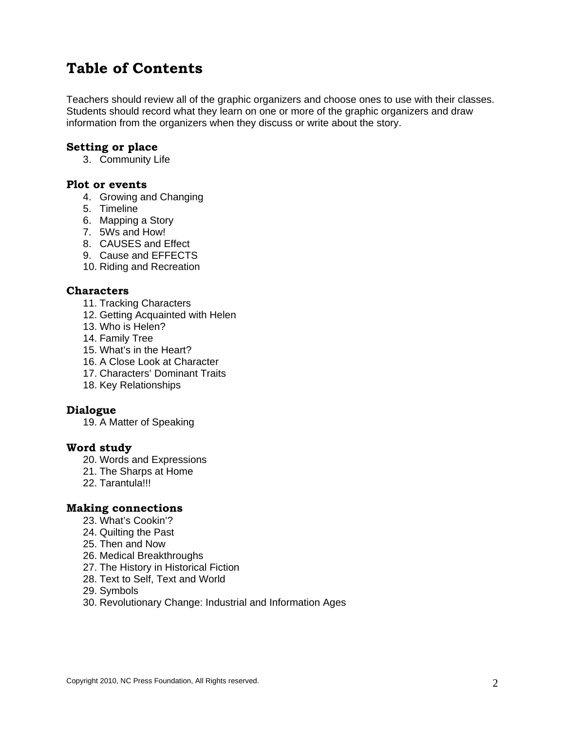### **Table of Contents**

Teachers should review all of the graphic organizers and choose ones to use with their classes. Students should record what they learn on one or more of the graphic organizers and draw information from the organizers when they discuss or write about the story.

#### **Setting or place**

3. Community Life

#### **Plot or events**

- 4. Growing and Changing
- 5. Timeline
- 6. Mapping a Story
- 7. 5Ws and How!
- 8. CAUSES and Effect
- 9. Cause and EFFECTS
- 10. Riding and Recreation

#### **Characters**

- 11. Tracking Characters
- 12. Getting Acquainted with Helen
- 13. Who is Helen?
- 14. Family Tree
- 15. What's in the Heart?
- 16. A Close Look at Character
- 17. Characters' Dominant Traits
- 18. Key Relationships

#### **Dialogue**

19. A Matter of Speaking

#### **Word study**

- 20. Words and Expressions
- 21. The Sharps at Home
- 22. Tarantula!!!

#### **Making connections**

- 23. What's Cookin'?
- 24. Quilting the Past
- 25. Then and Now
- 26. Medical Breakthroughs
- 27. The History in Historical Fiction
- 28. Text to Self, Text and World
- 29. Symbols
- 30. Revolutionary Change: Industrial and Information Ages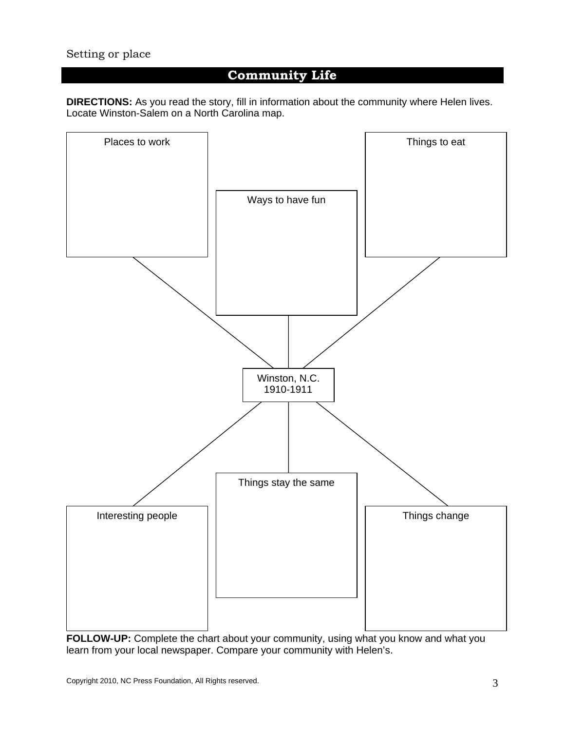#### Setting or place

### **Community Life**

**DIRECTIONS:** As you read the story, fill in information about the community where Helen lives. Locate Winston-Salem on a North Carolina map.



**FOLLOW-UP:** Complete the chart about your community, using what you know and what you learn from your local newspaper. Compare your community with Helen's.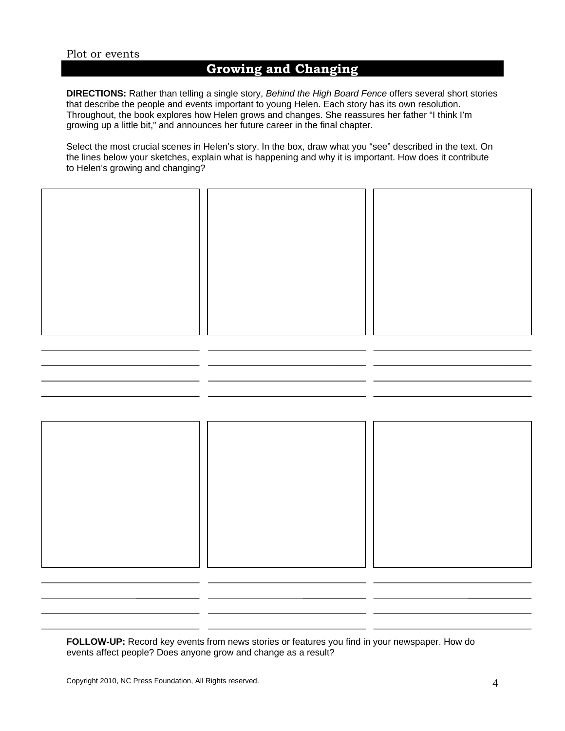### **Growing and Changing**

**DIRECTIONS:** Rather than telling a single story, *Behind the High Board Fence* offers several short stories that describe the people and events important to young Helen. Each story has its own resolution. Throughout, the book explores how Helen grows and changes. She reassures her father "I think I'm growing up a little bit," and announces her future career in the final chapter.

Select the most crucial scenes in Helen's story. In the box, draw what you "see" described in the text. On the lines below your sketches, explain what is happening and why it is important. How does it contribute to Helen's growing and changing?





**FOLLOW-UP:** Record key events from news stories or features you find in your newspaper. How do events affect people? Does anyone grow and change as a result?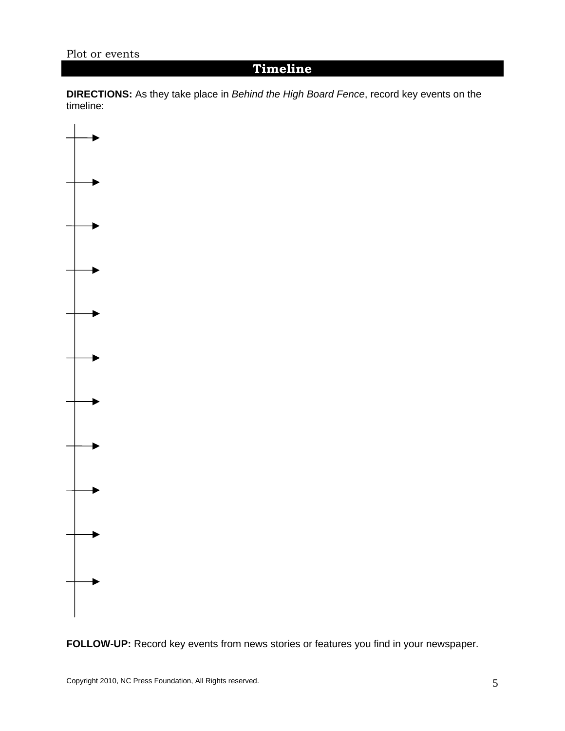### **Timeline**

**DIRECTIONS:** As they take place in *Behind the High Board Fence*, record key events on the timeline:



**FOLLOW-UP:** Record key events from news stories or features you find in your newspaper.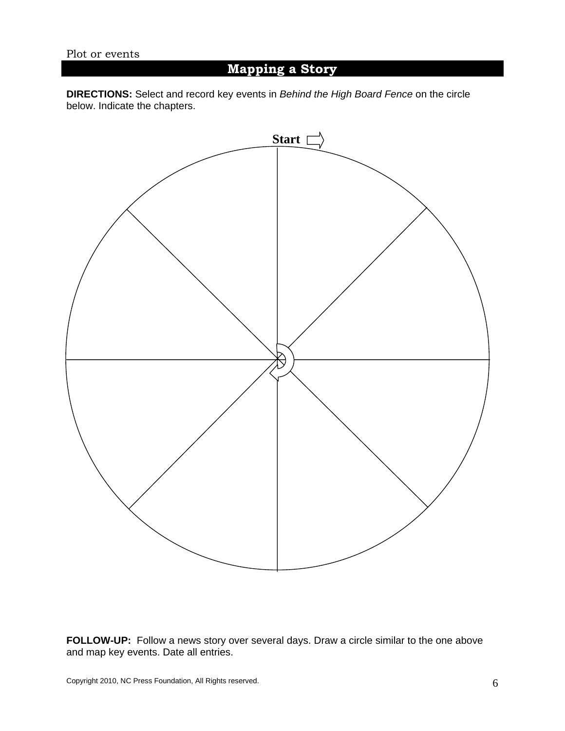### **Mapping a Story**

**DIRECTIONS:** Select and record key events in *Behind the High Board Fence* on the circle below. Indicate the chapters.



**FOLLOW-UP:** Follow a news story over several days. Draw a circle similar to the one above and map key events. Date all entries.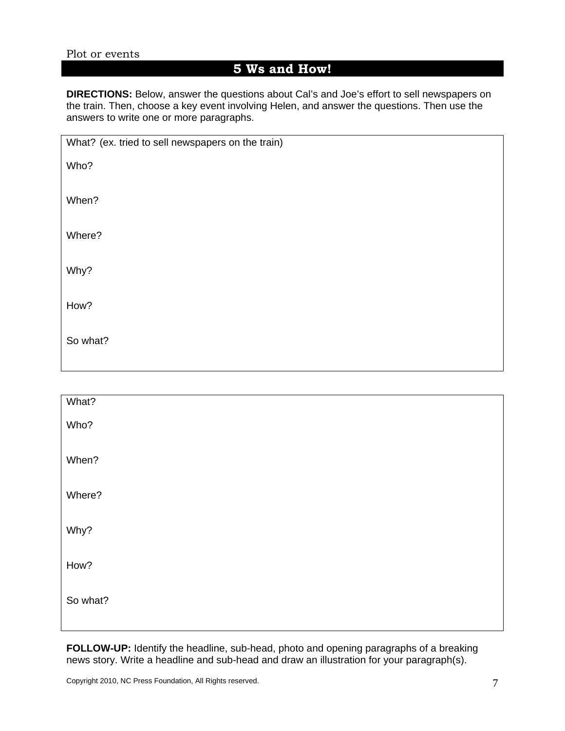### **5 Ws and How!**

**DIRECTIONS:** Below, answer the questions about Cal's and Joe's effort to sell newspapers on the train. Then, choose a key event involving Helen, and answer the questions. Then use the answers to write one or more paragraphs.

| What? (ex. tried to sell newspapers on the train) |
|---------------------------------------------------|
| Who?                                              |
| When?                                             |
| Where?                                            |
| Why?                                              |
| How?                                              |
| So what?                                          |
|                                                   |

| What?    |  |
|----------|--|
| Who?     |  |
| When?    |  |
| Where?   |  |
| Why?     |  |
| How?     |  |
| So what? |  |
|          |  |

**FOLLOW-UP:** Identify the headline, sub-head, photo and opening paragraphs of a breaking news story. Write a headline and sub-head and draw an illustration for your paragraph(s).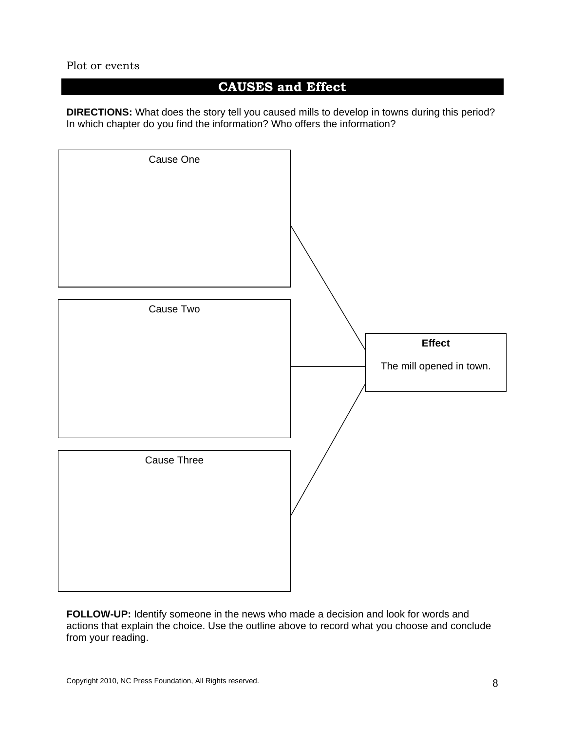### **CAUSES and Effect**

**DIRECTIONS:** What does the story tell you caused mills to develop in towns during this period? In which chapter do you find the information? Who offers the information?



**FOLLOW-UP:** Identify someone in the news who made a decision and look for words and actions that explain the choice. Use the outline above to record what you choose and conclude from your reading.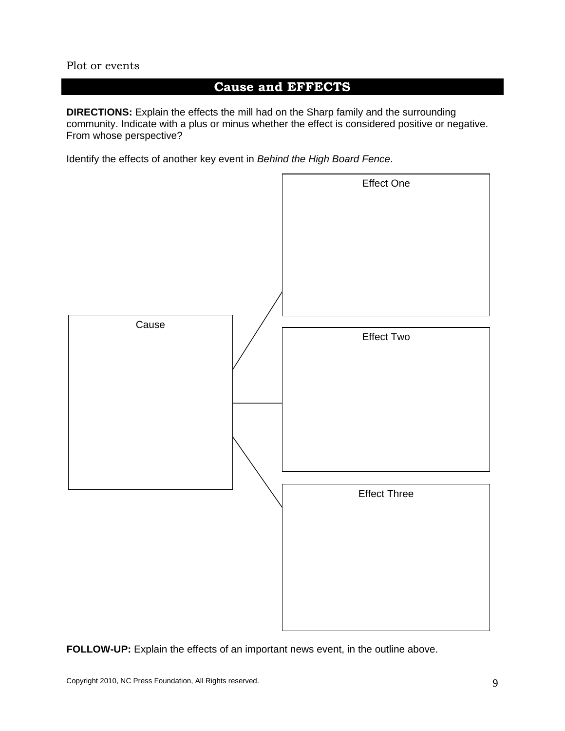### **Cause and EFFECTS**

**DIRECTIONS:** Explain the effects the mill had on the Sharp family and the surrounding community. Indicate with a plus or minus whether the effect is considered positive or negative. From whose perspective?

Identify the effects of another key event in *Behind the High Board Fence*.



**FOLLOW-UP:** Explain the effects of an important news event, in the outline above.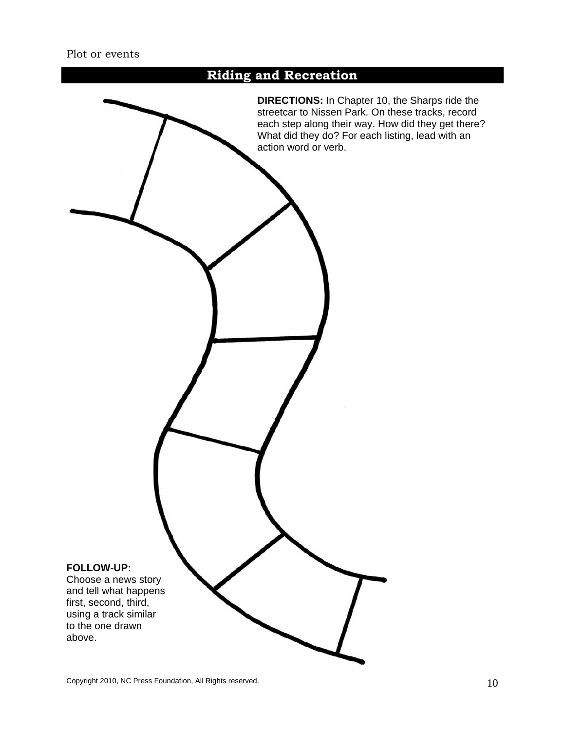### **Riding and Recreation**

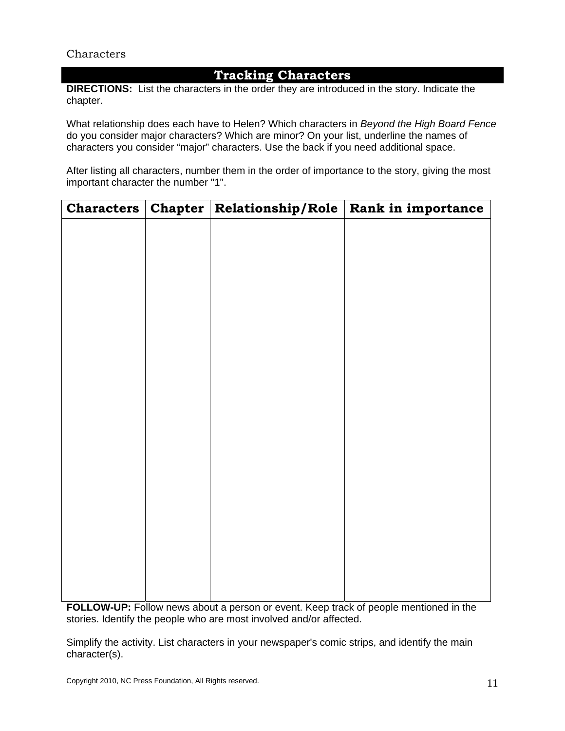### **Tracking Characters**

**DIRECTIONS:** List the characters in the order they are introduced in the story. Indicate the chapter.

What relationship does each have to Helen? Which characters in *Beyond the High Board Fence* do you consider major characters? Which are minor? On your list, underline the names of characters you consider "major" characters. Use the back if you need additional space.

After listing all characters, number them in the order of importance to the story, giving the most important character the number "1".

| $Characters$ | Chapter Relationship/Role | Rank in importance |
|--------------|---------------------------|--------------------|
|              |                           |                    |
|              |                           |                    |
|              |                           |                    |
|              |                           |                    |
|              |                           |                    |
|              |                           |                    |
|              |                           |                    |
|              |                           |                    |
|              |                           |                    |
|              |                           |                    |
|              |                           |                    |
|              |                           |                    |
|              |                           |                    |
|              |                           |                    |
|              |                           |                    |
|              |                           |                    |
|              |                           |                    |
|              |                           |                    |
|              |                           |                    |
|              |                           |                    |
|              |                           |                    |

**FOLLOW-UP:** Follow news about a person or event. Keep track of people mentioned in the stories. Identify the people who are most involved and/or affected.

Simplify the activity. List characters in your newspaper's comic strips, and identify the main character(s).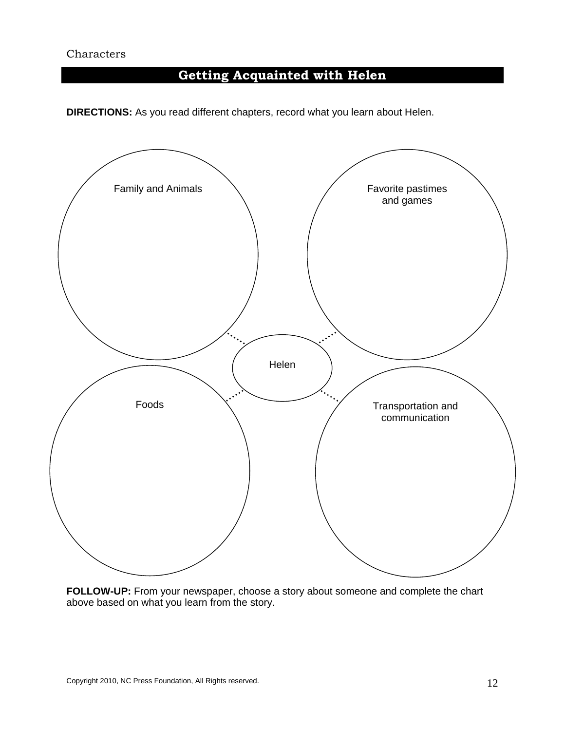## **Getting Acquainted with Helen**

**DIRECTIONS:** As you read different chapters, record what you learn about Helen.



**FOLLOW-UP:** From your newspaper, choose a story about someone and complete the chart above based on what you learn from the story.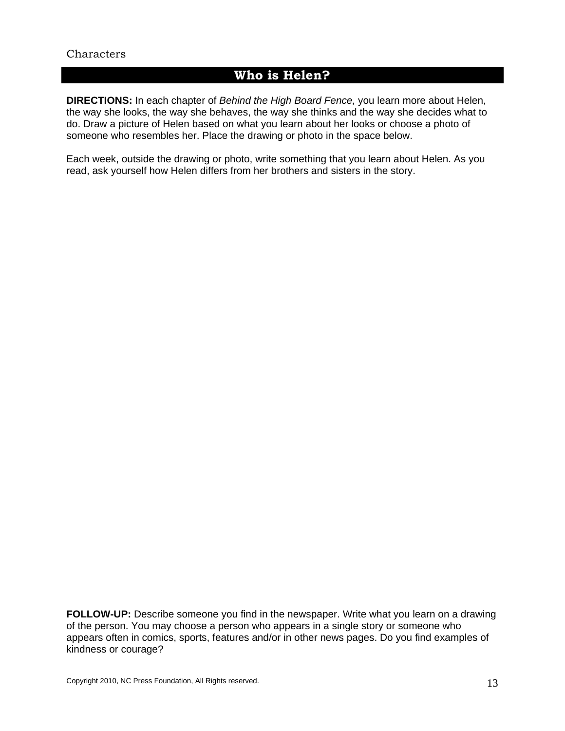### **Who is Helen?**

**DIRECTIONS:** In each chapter of *Behind the High Board Fence,* you learn more about Helen, the way she looks, the way she behaves, the way she thinks and the way she decides what to do. Draw a picture of Helen based on what you learn about her looks or choose a photo of someone who resembles her. Place the drawing or photo in the space below.

Each week, outside the drawing or photo, write something that you learn about Helen. As you read, ask yourself how Helen differs from her brothers and sisters in the story.

**FOLLOW-UP:** Describe someone you find in the newspaper. Write what you learn on a drawing of the person. You may choose a person who appears in a single story or someone who appears often in comics, sports, features and/or in other news pages. Do you find examples of kindness or courage?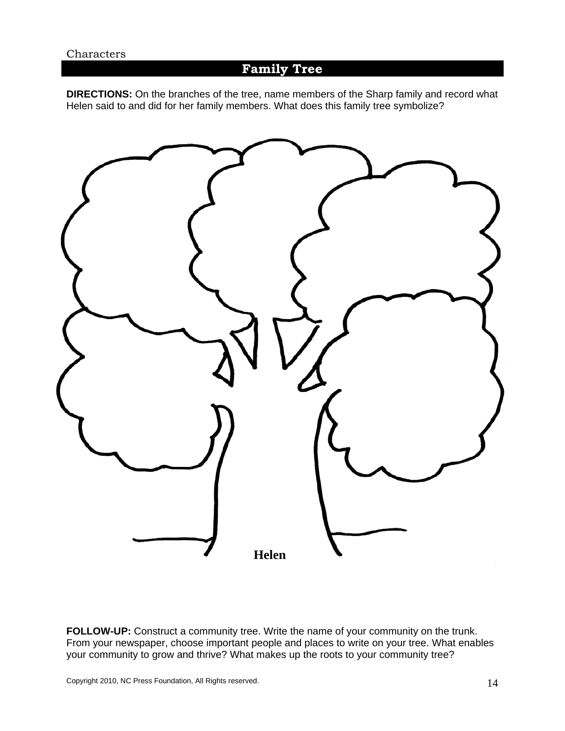### **Family Tree**

**DIRECTIONS:** On the branches of the tree, name members of the Sharp family and record what Helen said to and did for her family members. What does this family tree symbolize?



**FOLLOW-UP:** Construct a community tree. Write the name of your community on the trunk. From your newspaper, choose important people and places to write on your tree. What enables your community to grow and thrive? What makes up the roots to your community tree?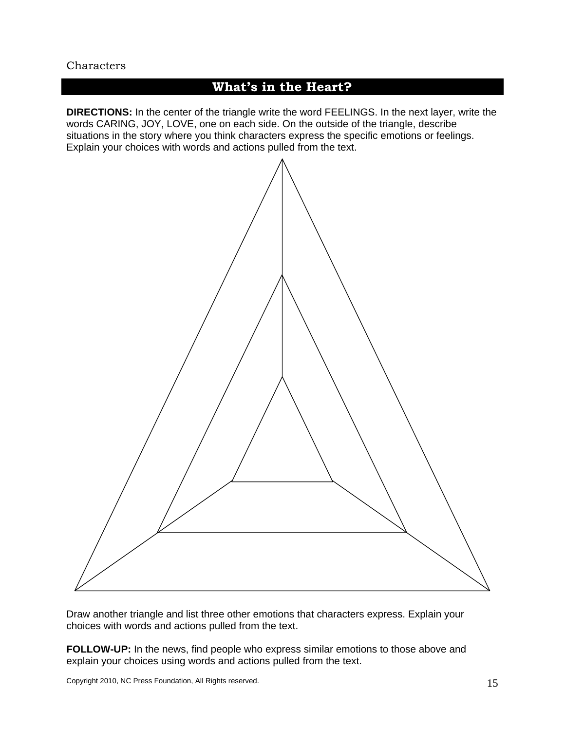### **What's in the Heart?**

**DIRECTIONS:** In the center of the triangle write the word FEELINGS. In the next layer, write the words CARING, JOY, LOVE, one on each side. On the outside of the triangle, describe situations in the story where you think characters express the specific emotions or feelings. Explain your choices with words and actions pulled from the text.



Draw another triangle and list three other emotions that characters express. Explain your choices with words and actions pulled from the text.

**FOLLOW-UP:** In the news, find people who express similar emotions to those above and explain your choices using words and actions pulled from the text.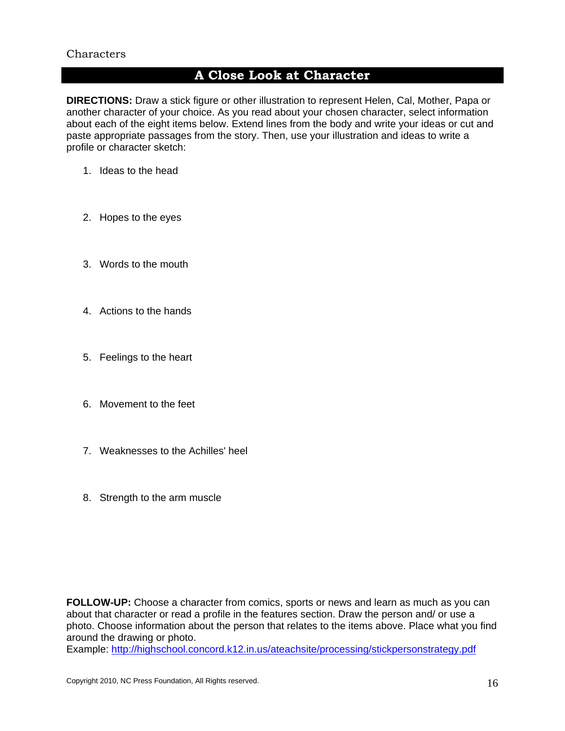### **A Close Look at Character**

**DIRECTIONS:** Draw a stick figure or other illustration to represent Helen, Cal, Mother, Papa or another character of your choice. As you read about your chosen character, select information about each of the eight items below. Extend lines from the body and write your ideas or cut and paste appropriate passages from the story. Then, use your illustration and ideas to write a profile or character sketch:

- 1. Ideas to the head
- 2. Hopes to the eyes
- 3. Words to the mouth
- 4. Actions to the hands
- 5. Feelings to the heart
- 6. Movement to the feet
- 7. Weaknesses to the Achilles' heel
- 8. Strength to the arm muscle

**FOLLOW-UP:** Choose a character from comics, sports or news and learn as much as you can about that character or read a profile in the features section. Draw the person and/ or use a photo. Choose information about the person that relates to the items above. Place what you find around the drawing or photo.

Example: http://highschool.concord.k12.in.us/ateachsite/processing/stickpersonstrategy.pdf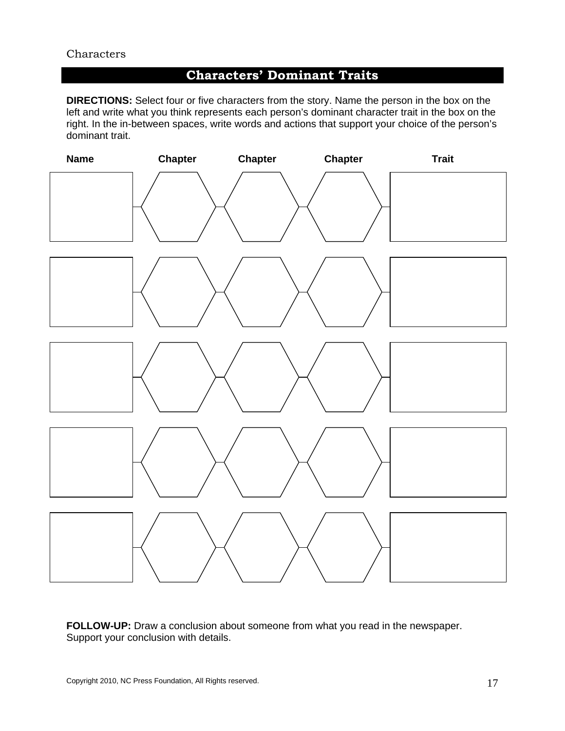### **Characters' Dominant Traits**

**DIRECTIONS:** Select four or five characters from the story. Name the person in the box on the left and write what you think represents each person's dominant character trait in the box on the right. In the in-between spaces, write words and actions that support your choice of the person's dominant trait.



**FOLLOW-UP:** Draw a conclusion about someone from what you read in the newspaper. Support your conclusion with details.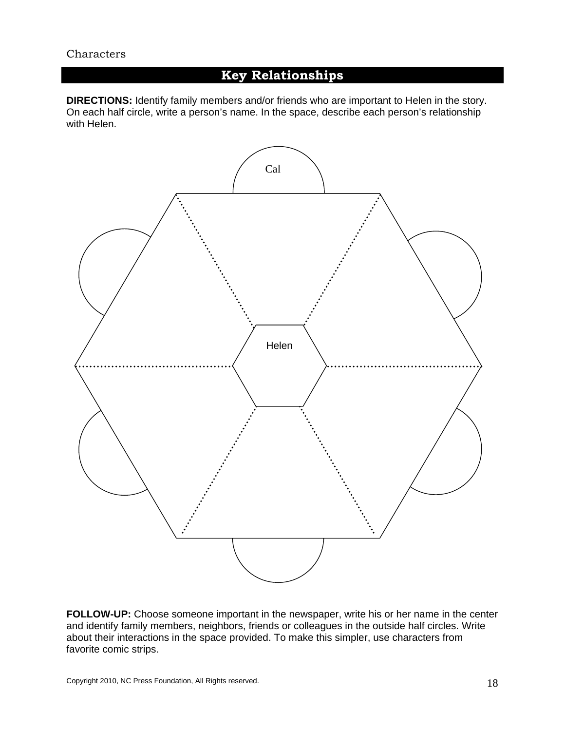### **Key Relationships**

**DIRECTIONS:** Identify family members and/or friends who are important to Helen in the story. On each half circle, write a person's name. In the space, describe each person's relationship with Helen.



**FOLLOW-UP:** Choose someone important in the newspaper, write his or her name in the center and identify family members, neighbors, friends or colleagues in the outside half circles. Write about their interactions in the space provided. To make this simpler, use characters from favorite comic strips.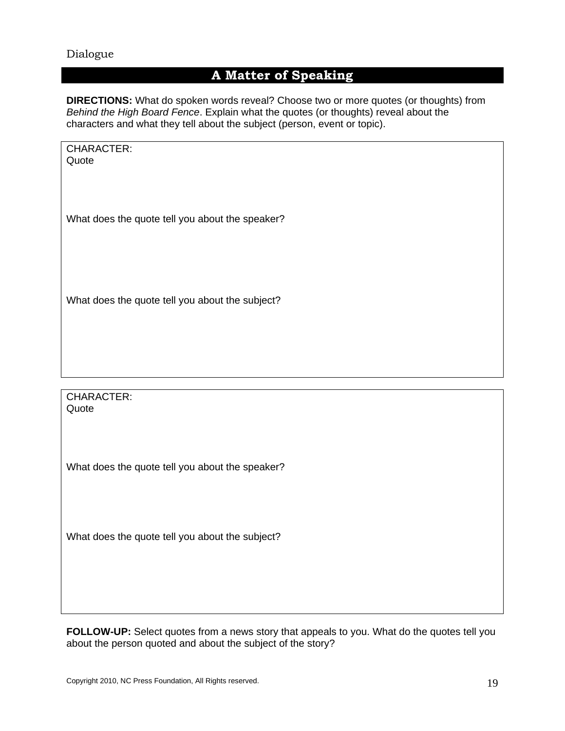#### Dialogue

### **A Matter of Speaking**

**DIRECTIONS:** What do spoken words reveal? Choose two or more quotes (or thoughts) from *Behind the High Board Fence*. Explain what the quotes (or thoughts) reveal about the characters and what they tell about the subject (person, event or topic).

| <b>CHARACTER:</b> |  |
|-------------------|--|
| Quote             |  |

What does the quote tell you about the speaker?

What does the quote tell you about the subject?

CHARACTER: Quote

What does the quote tell you about the speaker?

What does the quote tell you about the subject?

**FOLLOW-UP:** Select quotes from a news story that appeals to you. What do the quotes tell you about the person quoted and about the subject of the story?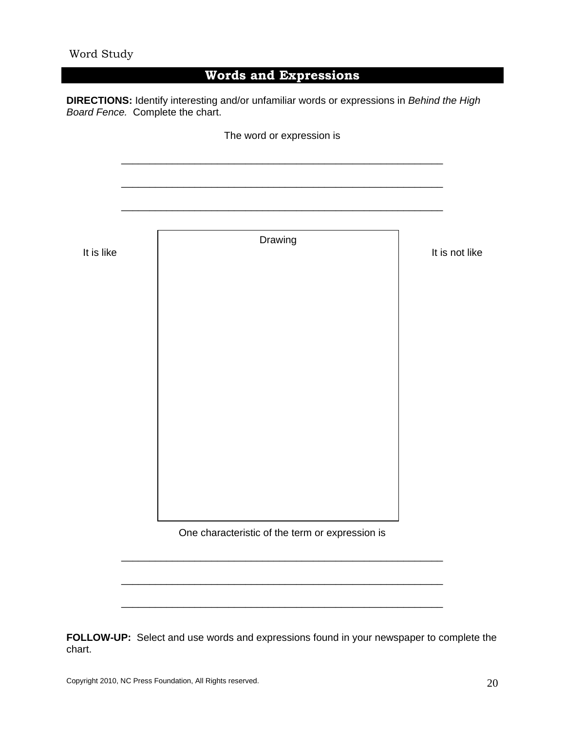### **Words and Expressions**

**DIRECTIONS:** Identify interesting and/or unfamiliar words or expressions in *Behind the High Board Fence.* Complete the chart.



**FOLLOW-UP:** Select and use words and expressions found in your newspaper to complete the chart.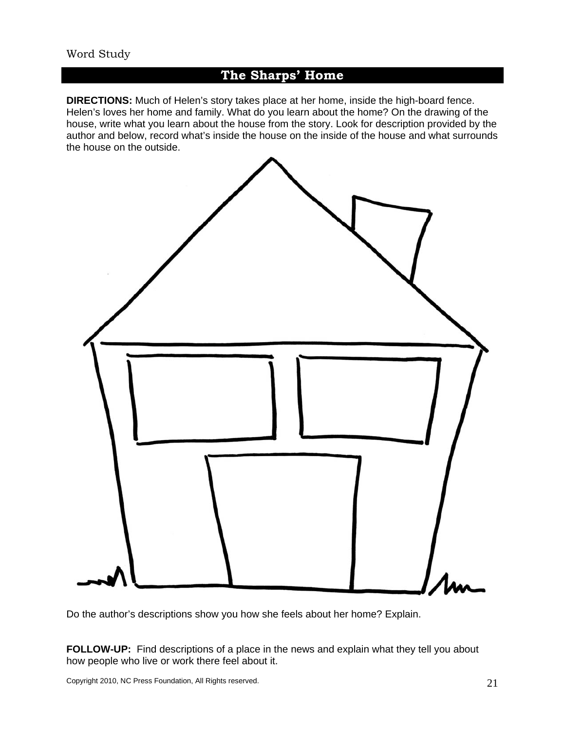### **The Sharps' Home**

**DIRECTIONS:** Much of Helen's story takes place at her home, inside the high-board fence. Helen's loves her home and family. What do you learn about the home? On the drawing of the house, write what you learn about the house from the story. Look for description provided by the author and below, record what's inside the house on the inside of the house and what surrounds the house on the outside.



Do the author's descriptions show you how she feels about her home? Explain.

**FOLLOW-UP:** Find descriptions of a place in the news and explain what they tell you about how people who live or work there feel about it.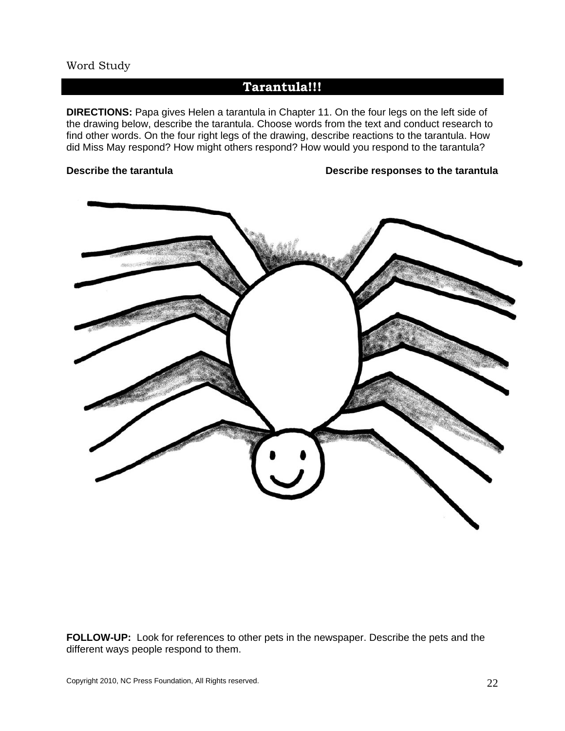#### Word Study

### **Tarantula!!!**

**DIRECTIONS:** Papa gives Helen a tarantula in Chapter 11. On the four legs on the left side of the drawing below, describe the tarantula. Choose words from the text and conduct research to find other words. On the four right legs of the drawing, describe reactions to the tarantula. How did Miss May respond? How might others respond? How would you respond to the tarantula?

#### **Describe the tarantula Describe responses to the tarantula**



**FOLLOW-UP:** Look for references to other pets in the newspaper. Describe the pets and the different ways people respond to them.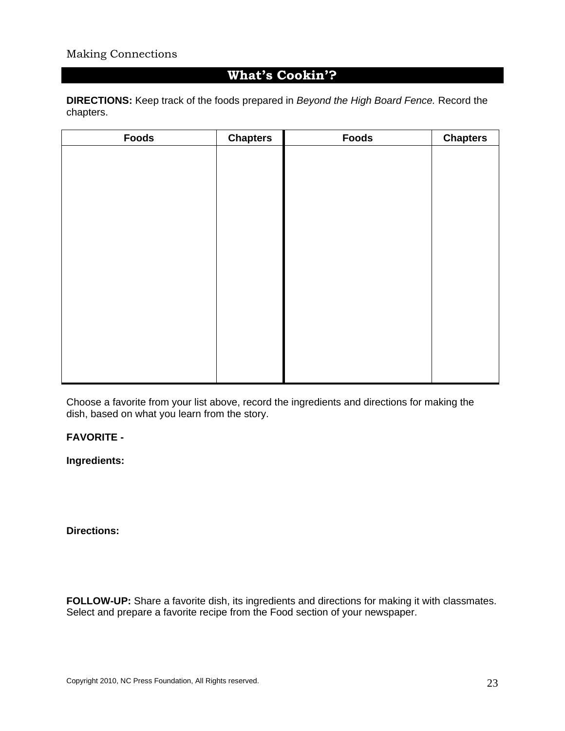### **What's Cookin'?**

**DIRECTIONS:** Keep track of the foods prepared in *Beyond the High Board Fence.* Record the chapters.

| <b>Chapters</b> | <b>Foods</b> | <b>Chapters</b> |
|-----------------|--------------|-----------------|
|                 |              |                 |
|                 |              |                 |
|                 |              |                 |
|                 |              |                 |
|                 |              |                 |
|                 |              |                 |
|                 |              |                 |
|                 |              |                 |
|                 |              |                 |
|                 |              |                 |
|                 |              |                 |
|                 |              |                 |
|                 |              |                 |
|                 |              |                 |
|                 |              |                 |
|                 |              |                 |

Choose a favorite from your list above, record the ingredients and directions for making the dish, based on what you learn from the story.

#### **FAVORITE -**

**Ingredients:**

**Directions:**

**FOLLOW-UP:** Share a favorite dish, its ingredients and directions for making it with classmates. Select and prepare a favorite recipe from the Food section of your newspaper.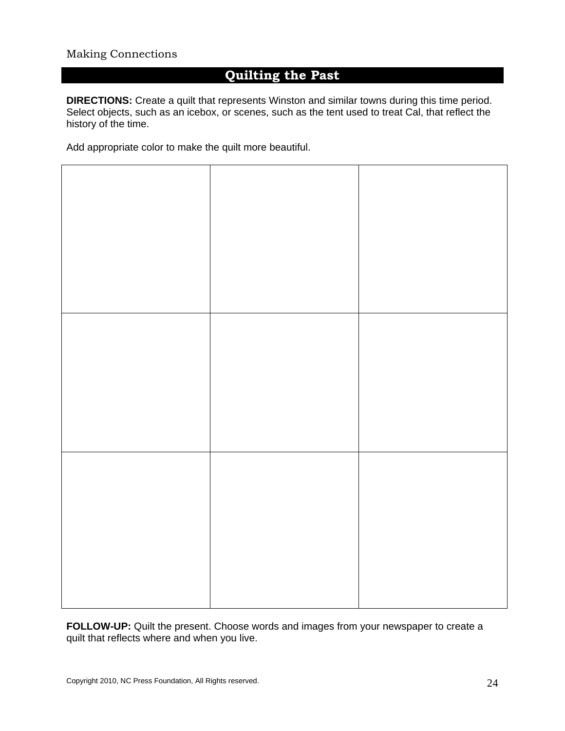### **Quilting the Past**

**DIRECTIONS:** Create a quilt that represents Winston and similar towns during this time period. Select objects, such as an icebox, or scenes, such as the tent used to treat Cal, that reflect the history of the time.

Add appropriate color to make the quilt more beautiful.



**FOLLOW-UP:** Quilt the present. Choose words and images from your newspaper to create a quilt that reflects where and when you live.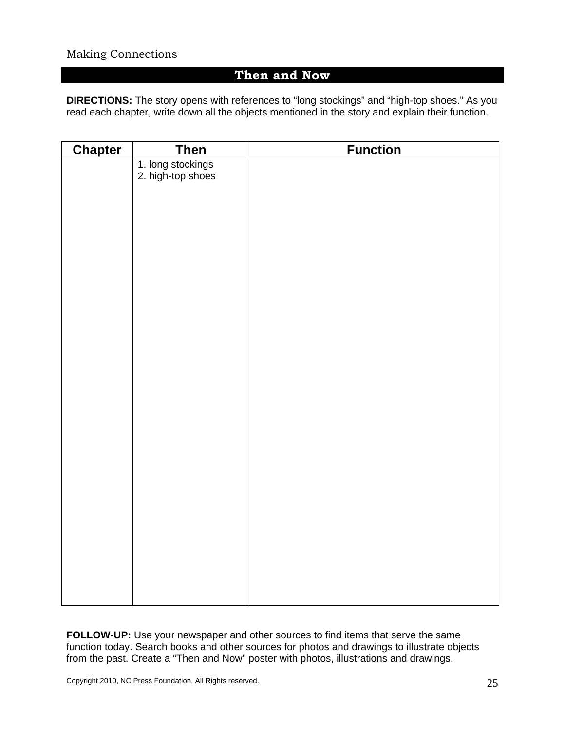### **Then and Now**

**DIRECTIONS:** The story opens with references to "long stockings" and "high-top shoes." As you read each chapter, write down all the objects mentioned in the story and explain their function.

| <b>Chapter</b> | <b>Then</b>                            | <b>Function</b> |
|----------------|----------------------------------------|-----------------|
|                | 1. long stockings<br>2. high-top shoes |                 |
|                |                                        |                 |
|                |                                        |                 |
|                |                                        |                 |
|                |                                        |                 |
|                |                                        |                 |
|                |                                        |                 |
|                |                                        |                 |
|                |                                        |                 |
|                |                                        |                 |
|                |                                        |                 |
|                |                                        |                 |
|                |                                        |                 |
|                |                                        |                 |
|                |                                        |                 |
|                |                                        |                 |
|                |                                        |                 |
|                |                                        |                 |
|                |                                        |                 |
|                |                                        |                 |
|                |                                        |                 |
|                |                                        |                 |
|                |                                        |                 |
|                |                                        |                 |
|                |                                        |                 |
|                |                                        |                 |
|                |                                        |                 |

**FOLLOW-UP:** Use your newspaper and other sources to find items that serve the same function today. Search books and other sources for photos and drawings to illustrate objects from the past. Create a "Then and Now" poster with photos, illustrations and drawings.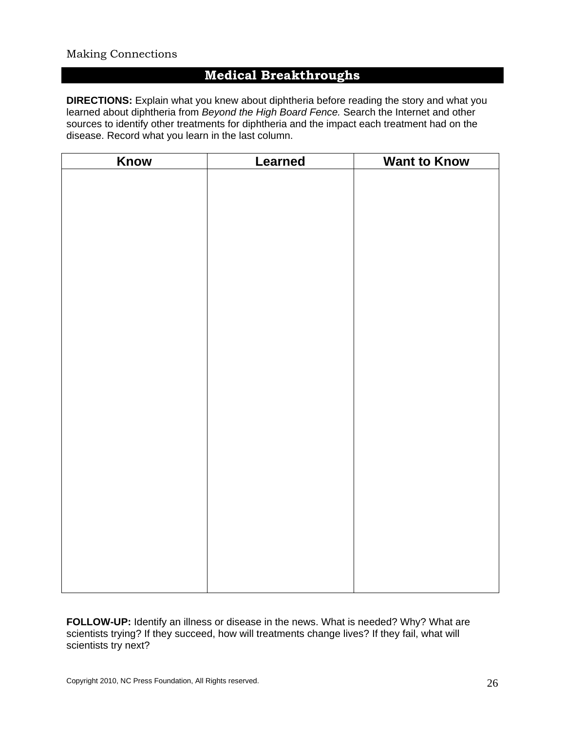### **Medical Breakthroughs**

**DIRECTIONS:** Explain what you knew about diphtheria before reading the story and what you learned about diphtheria from *Beyond the High Board Fence.* Search the Internet and other sources to identify other treatments for diphtheria and the impact each treatment had on the disease. Record what you learn in the last column.

| Know | <b>Learned</b> | <b>Want to Know</b> |
|------|----------------|---------------------|
|      |                |                     |
|      |                |                     |
|      |                |                     |
|      |                |                     |
|      |                |                     |
|      |                |                     |
|      |                |                     |
|      |                |                     |
|      |                |                     |
|      |                |                     |
|      |                |                     |
|      |                |                     |
|      |                |                     |
|      |                |                     |
|      |                |                     |
|      |                |                     |
|      |                |                     |
|      |                |                     |
|      |                |                     |
|      |                |                     |
|      |                |                     |
|      |                |                     |
|      |                |                     |
|      |                |                     |
|      |                |                     |
|      |                |                     |

**FOLLOW-UP:** Identify an illness or disease in the news. What is needed? Why? What are scientists trying? If they succeed, how will treatments change lives? If they fail, what will scientists try next?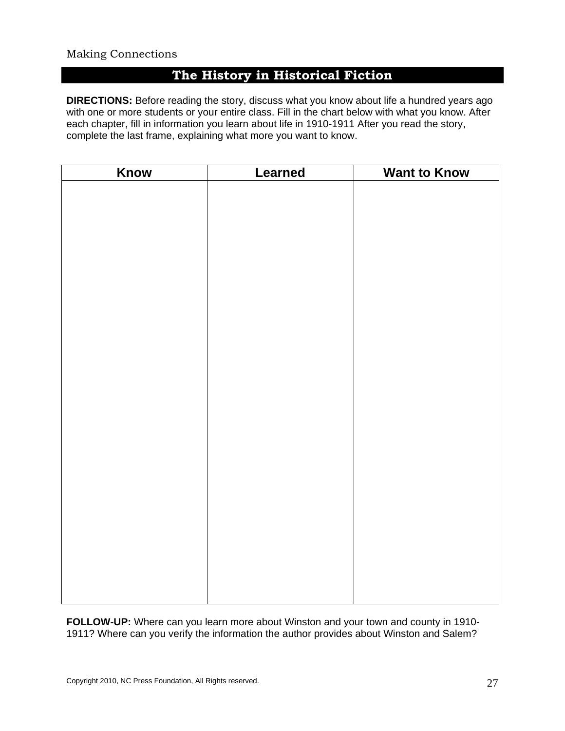### **The History in Historical Fiction**

**DIRECTIONS:** Before reading the story, discuss what you know about life a hundred years ago with one or more students or your entire class. Fill in the chart below with what you know. After each chapter, fill in information you learn about life in 1910-1911 After you read the story, complete the last frame, explaining what more you want to know.

| Know | Learned | <b>Want to Know</b> |
|------|---------|---------------------|
|      |         |                     |
|      |         |                     |
|      |         |                     |
|      |         |                     |
|      |         |                     |
|      |         |                     |
|      |         |                     |
|      |         |                     |
|      |         |                     |
|      |         |                     |
|      |         |                     |
|      |         |                     |
|      |         |                     |
|      |         |                     |
|      |         |                     |
|      |         |                     |
|      |         |                     |
|      |         |                     |
|      |         |                     |
|      |         |                     |
|      |         |                     |
|      |         |                     |
|      |         |                     |
|      |         |                     |
|      |         |                     |
|      |         |                     |

**FOLLOW-UP:** Where can you learn more about Winston and your town and county in 1910- 1911? Where can you verify the information the author provides about Winston and Salem?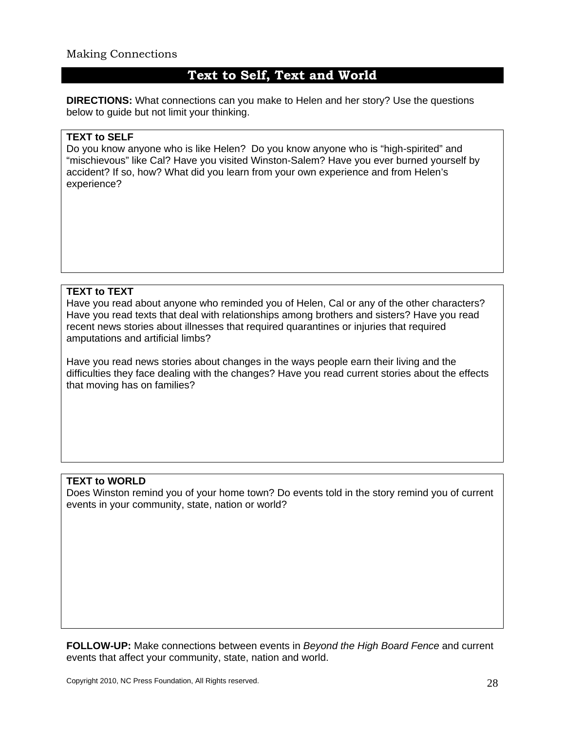### **Text to Self, Text and World**

**DIRECTIONS:** What connections can you make to Helen and her story? Use the questions below to guide but not limit your thinking.

#### **TEXT to SELF**

Do you know anyone who is like Helen? Do you know anyone who is "high-spirited" and "mischievous" like Cal? Have you visited Winston-Salem? Have you ever burned yourself by accident? If so, how? What did you learn from your own experience and from Helen's experience?

#### **TEXT to TEXT**

Have you read about anyone who reminded you of Helen, Cal or any of the other characters? Have you read texts that deal with relationships among brothers and sisters? Have you read recent news stories about illnesses that required quarantines or injuries that required amputations and artificial limbs?

Have you read news stories about changes in the ways people earn their living and the difficulties they face dealing with the changes? Have you read current stories about the effects that moving has on families?

#### **TEXT to WORLD**

Does Winston remind you of your home town? Do events told in the story remind you of current events in your community, state, nation or world?

**FOLLOW-UP:** Make connections between events in *Beyond the High Board Fence* and current events that affect your community, state, nation and world.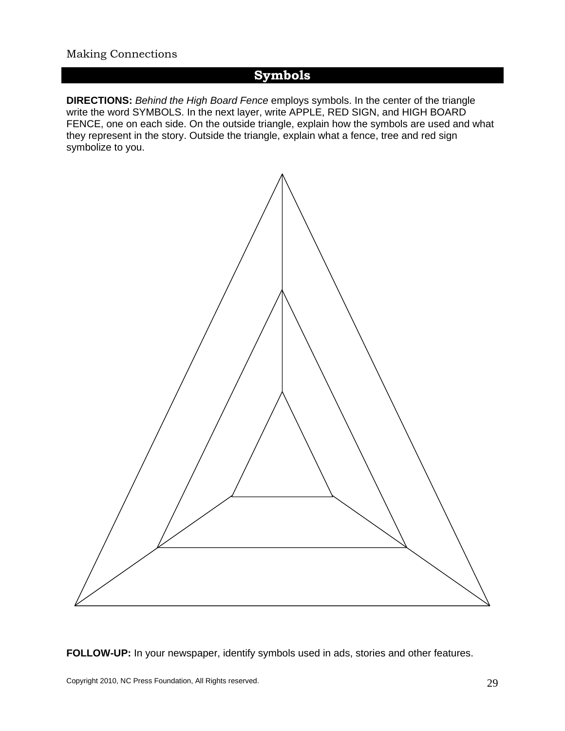### **Symbols**

**DIRECTIONS:** *Behind the High Board Fence* employs symbols. In the center of the triangle write the word SYMBOLS. In the next layer, write APPLE, RED SIGN, and HIGH BOARD FENCE, one on each side. On the outside triangle, explain how the symbols are used and what they represent in the story. Outside the triangle, explain what a fence, tree and red sign symbolize to you.



**FOLLOW-UP:** In your newspaper, identify symbols used in ads, stories and other features.